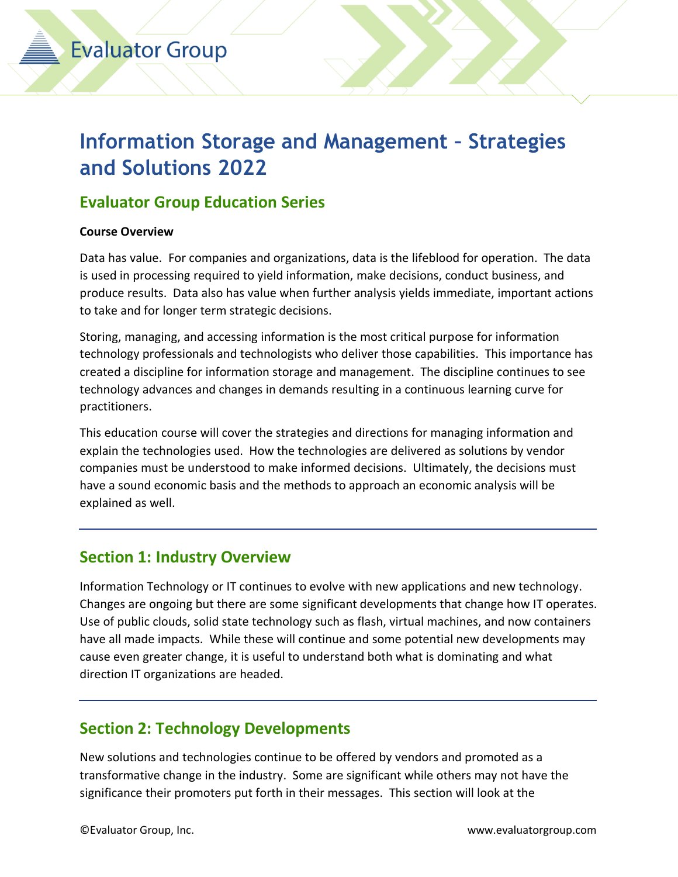## **Information Storage and Management – Strategies and Solutions 2022**

## **Evaluator Group Education Series**

#### **Course Overview**

Data has value. For companies and organizations, data is the lifeblood for operation. The data is used in processing required to yield information, make decisions, conduct business, and produce results. Data also has value when further analysis yields immediate, important actions to take and for longer term strategic decisions.

Storing, managing, and accessing information is the most critical purpose for information technology professionals and technologists who deliver those capabilities. This importance has created a discipline for information storage and management. The discipline continues to see technology advances and changes in demands resulting in a continuous learning curve for practitioners.

This education course will cover the strategies and directions for managing information and explain the technologies used. How the technologies are delivered as solutions by vendor companies must be understood to make informed decisions. Ultimately, the decisions must have a sound economic basis and the methods to approach an economic analysis will be explained as well.

## **Section 1: Industry Overview**

Information Technology or IT continues to evolve with new applications and new technology. Changes are ongoing but there are some significant developments that change how IT operates. Use of public clouds, solid state technology such as flash, virtual machines, and now containers have all made impacts. While these will continue and some potential new developments may cause even greater change, it is useful to understand both what is dominating and what direction IT organizations are headed.

## **Section 2: Technology Developments**

New solutions and technologies continue to be offered by vendors and promoted as a transformative change in the industry. Some are significant while others may not have the significance their promoters put forth in their messages. This section will look at the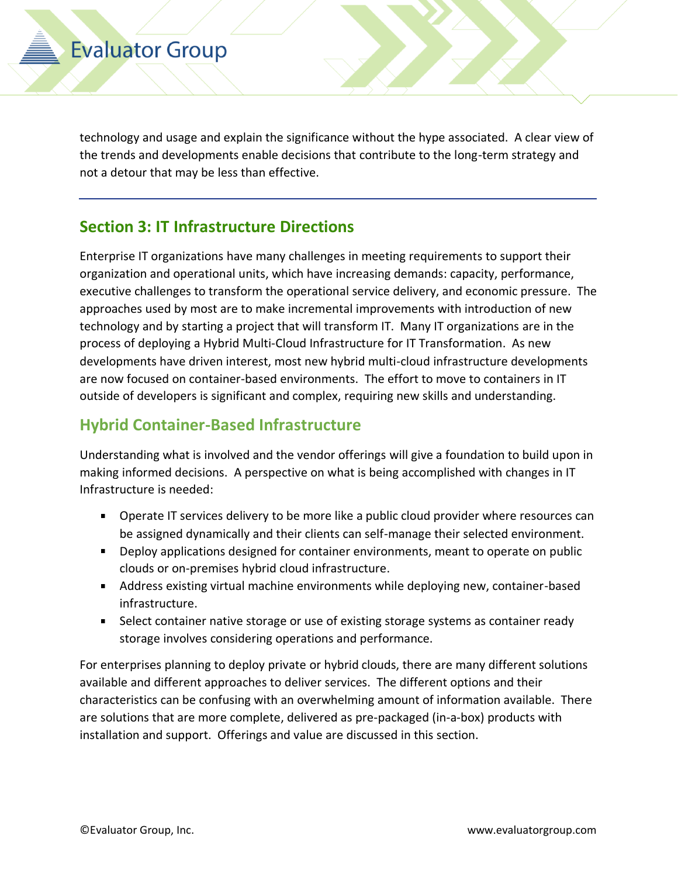technology and usage and explain the significance without the hype associated. A clear view of the trends and developments enable decisions that contribute to the long-term strategy and not a detour that may be less than effective.

#### **Section 3: IT Infrastructure Directions**

Enterprise IT organizations have many challenges in meeting requirements to support their organization and operational units, which have increasing demands: capacity, performance, executive challenges to transform the operational service delivery, and economic pressure. The approaches used by most are to make incremental improvements with introduction of new technology and by starting a project that will transform IT. Many IT organizations are in the process of deploying a Hybrid Multi-Cloud Infrastructure for IT Transformation. As new developments have driven interest, most new hybrid multi-cloud infrastructure developments are now focused on container-based environments. The effort to move to containers in IT outside of developers is significant and complex, requiring new skills and understanding.

### **Hybrid Container-Based Infrastructure**

Understanding what is involved and the vendor offerings will give a foundation to build upon in making informed decisions. A perspective on what is being accomplished with changes in IT Infrastructure is needed:

- **Dearate IT services delivery to be more like a public cloud provider where resources can** be assigned dynamically and their clients can self-manage their selected environment.
- Deploy applications designed for container environments, meant to operate on public clouds or on-premises hybrid cloud infrastructure.
- Address existing virtual machine environments while deploying new, container-based infrastructure.
- **Select container native storage or use of existing storage systems as container ready** storage involves considering operations and performance.

For enterprises planning to deploy private or hybrid clouds, there are many different solutions available and different approaches to deliver services. The different options and their characteristics can be confusing with an overwhelming amount of information available. There are solutions that are more complete, delivered as pre-packaged (in-a-box) products with installation and support. Offerings and value are discussed in this section.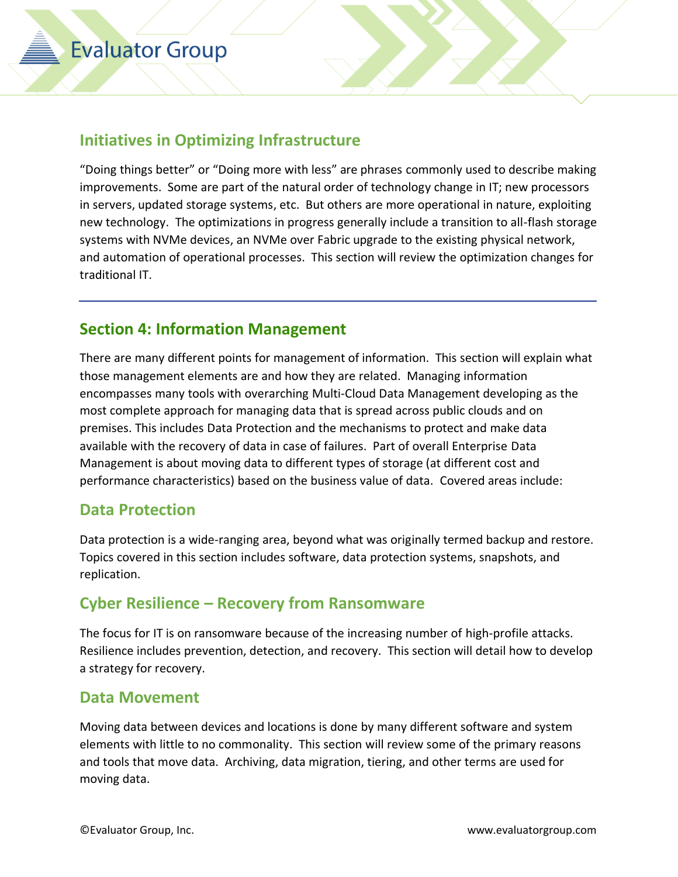### **Initiatives in Optimizing Infrastructure**

"Doing things better" or "Doing more with less" are phrases commonly used to describe making improvements. Some are part of the natural order of technology change in IT; new processors in servers, updated storage systems, etc. But others are more operational in nature, exploiting new technology. The optimizations in progress generally include a transition to all-flash storage systems with NVMe devices, an NVMe over Fabric upgrade to the existing physical network, and automation of operational processes. This section will review the optimization changes for traditional IT.

#### **Section 4: Information Management**

There are many different points for management of information. This section will explain what those management elements are and how they are related. Managing information encompasses many tools with overarching Multi-Cloud Data Management developing as the most complete approach for managing data that is spread across public clouds and on premises. This includes Data Protection and the mechanisms to protect and make data available with the recovery of data in case of failures. Part of overall Enterprise Data Management is about moving data to different types of storage (at different cost and performance characteristics) based on the business value of data. Covered areas include:

#### **Data Protection**

Data protection is a wide-ranging area, beyond what was originally termed backup and restore. Topics covered in this section includes software, data protection systems, snapshots, and replication.

## **Cyber Resilience – Recovery from Ransomware**

The focus for IT is on ransomware because of the increasing number of high-profile attacks. Resilience includes prevention, detection, and recovery. This section will detail how to develop a strategy for recovery.

#### **Data Movement**

Moving data between devices and locations is done by many different software and system elements with little to no commonality. This section will review some of the primary reasons and tools that move data. Archiving, data migration, tiering, and other terms are used for moving data.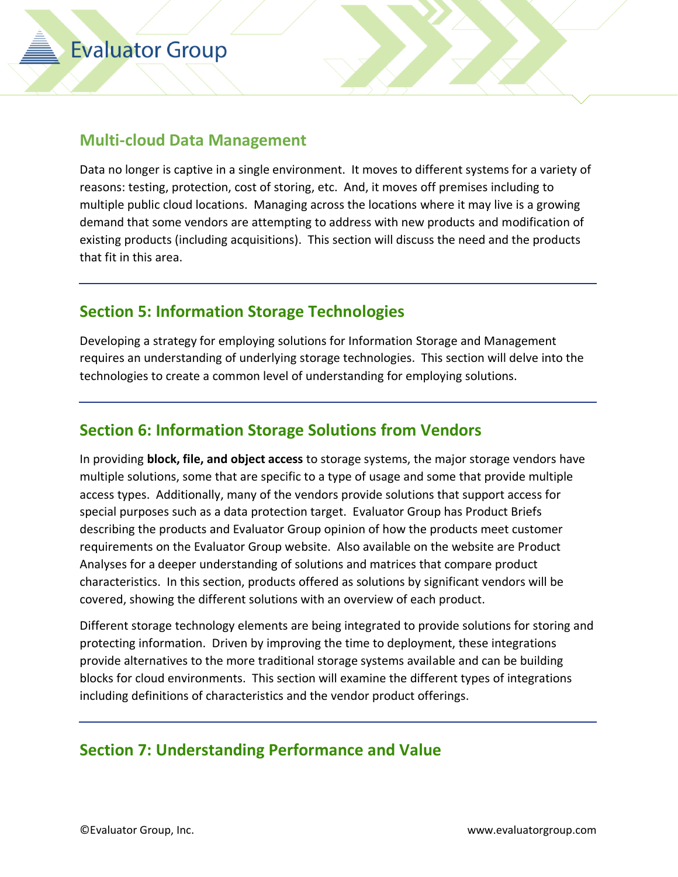#### **Multi-cloud Data Management**

Data no longer is captive in a single environment. It moves to different systems for a variety of reasons: testing, protection, cost of storing, etc. And, it moves off premises including to multiple public cloud locations. Managing across the locations where it may live is a growing demand that some vendors are attempting to address with new products and modification of existing products (including acquisitions). This section will discuss the need and the products that fit in this area.

#### **Section 5: Information Storage Technologies**

Developing a strategy for employing solutions for Information Storage and Management requires an understanding of underlying storage technologies. This section will delve into the technologies to create a common level of understanding for employing solutions.

#### **Section 6: Information Storage Solutions from Vendors**

In providing **block, file, and object access** to storage systems, the major storage vendors have multiple solutions, some that are specific to a type of usage and some that provide multiple access types. Additionally, many of the vendors provide solutions that support access for special purposes such as a data protection target. Evaluator Group has Product Briefs describing the products and Evaluator Group opinion of how the products meet customer requirements on the Evaluator Group website. Also available on the website are Product Analyses for a deeper understanding of solutions and matrices that compare product characteristics. In this section, products offered as solutions by significant vendors will be covered, showing the different solutions with an overview of each product.

Different storage technology elements are being integrated to provide solutions for storing and protecting information. Driven by improving the time to deployment, these integrations provide alternatives to the more traditional storage systems available and can be building blocks for cloud environments. This section will examine the different types of integrations including definitions of characteristics and the vendor product offerings.

#### **Section 7: Understanding Performance and Value**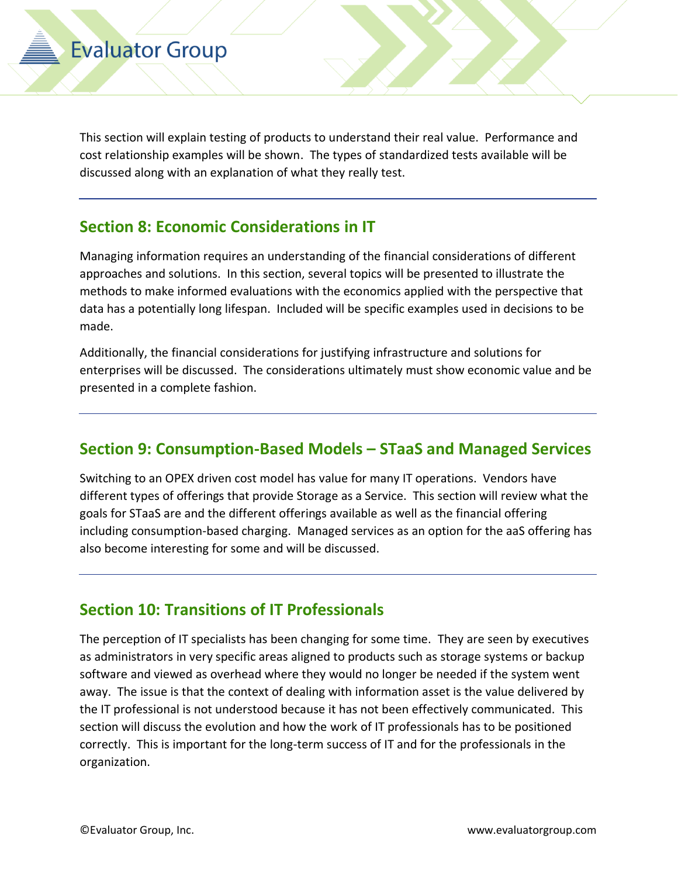This section will explain testing of products to understand their real value. Performance and cost relationship examples will be shown. The types of standardized tests available will be discussed along with an explanation of what they really test.

## **Section 8: Economic Considerations in IT**

Managing information requires an understanding of the financial considerations of different approaches and solutions. In this section, several topics will be presented to illustrate the methods to make informed evaluations with the economics applied with the perspective that data has a potentially long lifespan. Included will be specific examples used in decisions to be made.

Additionally, the financial considerations for justifying infrastructure and solutions for enterprises will be discussed. The considerations ultimately must show economic value and be presented in a complete fashion.

## **Section 9: Consumption-Based Models – STaaS and Managed Services**

Switching to an OPEX driven cost model has value for many IT operations. Vendors have different types of offerings that provide Storage as a Service. This section will review what the goals for STaaS are and the different offerings available as well as the financial offering including consumption-based charging. Managed services as an option for the aaS offering has also become interesting for some and will be discussed.

## **Section 10: Transitions of IT Professionals**

The perception of IT specialists has been changing for some time. They are seen by executives as administrators in very specific areas aligned to products such as storage systems or backup software and viewed as overhead where they would no longer be needed if the system went away. The issue is that the context of dealing with information asset is the value delivered by the IT professional is not understood because it has not been effectively communicated. This section will discuss the evolution and how the work of IT professionals has to be positioned correctly. This is important for the long-term success of IT and for the professionals in the organization.